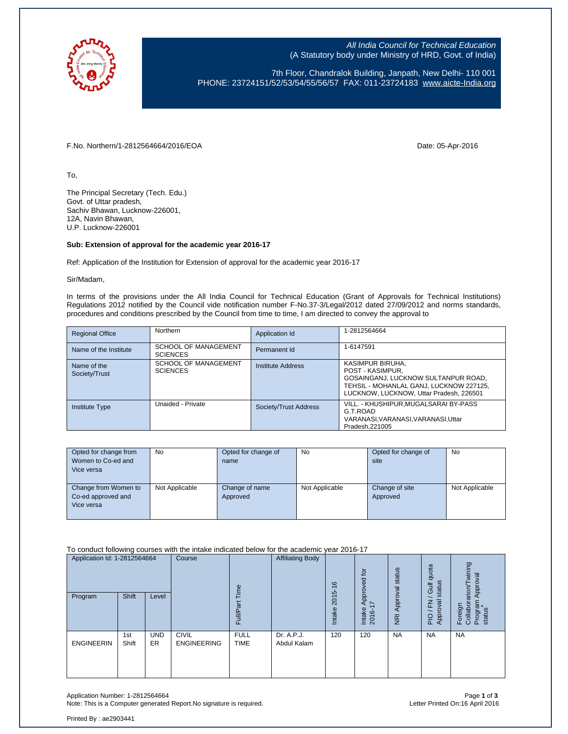

All India Council for Technical Education (A Statutory body under Ministry of HRD, Govt. of India)

7th Floor, Chandralok Building, Janpath, New Delhi- 110 001 PHONE: 23724151/52/53/54/55/56/57 FAX: 011-23724183 [www.aicte-India.org](http://www.aicte-india.org/)

F.No. Northern/1-2812564664/2016/EOA Date: 05-Apr-2016

To,

The Principal Secretary (Tech. Edu.) Govt. of Uttar pradesh, Sachiv Bhawan, Lucknow-226001, 12A, Navin Bhawan, U.P. Lucknow-226001

## **Sub: Extension of approval for the academic year 2016-17**

Ref: Application of the Institution for Extension of approval for the academic year 2016-17

Sir/Madam,

In terms of the provisions under the All India Council for Technical Education (Grant of Approvals for Technical Institutions) Regulations 2012 notified by the Council vide notification number F-No.37-3/Legal/2012 dated 27/09/2012 and norms standards, procedures and conditions prescribed by the Council from time to time, I am directed to convey the approval to

| <b>Regional Office</b>       | Northern                                | Application Id        | 1-2812564664                                                                                                                                                      |
|------------------------------|-----------------------------------------|-----------------------|-------------------------------------------------------------------------------------------------------------------------------------------------------------------|
| Name of the Institute        | SCHOOL OF MANAGEMENT<br><b>SCIENCES</b> | Permanent Id          | 1-6147591                                                                                                                                                         |
| Name of the<br>Society/Trust | SCHOOL OF MANAGEMENT<br><b>SCIENCES</b> | Institute Address     | KASIMPUR BIRUHA,<br>POST - KASIMPUR.<br>GOSAINGANJ, LUCKNOW SULTANPUR ROAD,<br>TEHSIL - MOHANLAL GANJ, LUCKNOW 227125,<br>LUCKNOW, LUCKNOW, Uttar Pradesh, 226501 |
| <b>Institute Type</b>        | Unaided - Private                       | Society/Trust Address | VILL. - KHUSHIPUR.MUGALSARAI BY-PASS<br>G.T.ROAD<br>VARANASI, VARANASI, VARANASI, Uttar<br>Pradesh.221005                                                         |

| Opted for change from | <b>No</b>      | Opted for change of | No             | Opted for change of | No             |
|-----------------------|----------------|---------------------|----------------|---------------------|----------------|
| Women to Co-ed and    |                | name                |                | site                |                |
| Vice versa            |                |                     |                |                     |                |
|                       |                |                     |                |                     |                |
| Change from Women to  | Not Applicable | Change of name      | Not Applicable | Change of site      | Not Applicable |
| Co-ed approved and    |                | Approved            |                | Approved            |                |
| Vice versa            |                |                     |                |                     |                |
|                       |                |                     |                |                     |                |

To conduct following courses with the intake indicated below for the academic year 2016-17

| Application Id: 1-2812564664<br>Program | Shift        | Level            | Course                             | eui<br>Full                | <b>Affiliating Body</b>   | $\frac{6}{2}$<br>$2015 -$<br>Intake | $\overline{p}$<br>Approved<br>I7<br>Intake<br>2016- | status<br>Approval<br>$\overline{g}$ | quota<br>status<br>Gulf<br>준<br>Approval<br>$\frac{1}{2}$ | wining<br>Approval<br>arion/<br>Program<br>status<br>Foreign<br>Collabor |
|-----------------------------------------|--------------|------------------|------------------------------------|----------------------------|---------------------------|-------------------------------------|-----------------------------------------------------|--------------------------------------|-----------------------------------------------------------|--------------------------------------------------------------------------|
| <b>ENGINEERIN</b>                       | 1st<br>Shift | <b>UND</b><br>ER | <b>CIVIL</b><br><b>ENGINEERING</b> | <b>FULL</b><br><b>TIME</b> | Dr. A.P.J.<br>Abdul Kalam | 120                                 | 120                                                 | <b>NA</b>                            | <b>NA</b>                                                 | <b>NA</b>                                                                |

Application Number: 1-2812564664 Page **1** of **3** Note: This is a Computer generated Report. No signature is required.

Printed By : ae2903441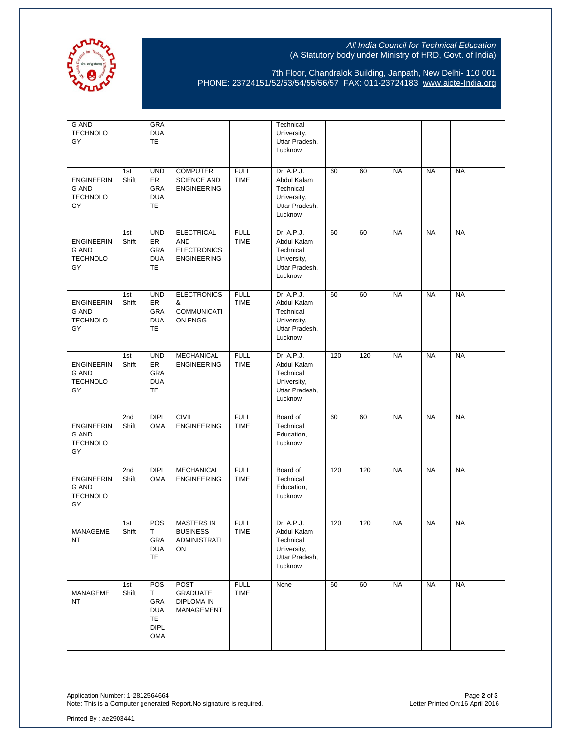

## All India Council for Technical Education (A Statutory body under Ministry of HRD, Govt. of India)

7th Floor, Chandralok Building, Janpath, New Delhi- 110 001 PHONE: 23724151/52/53/54/55/56/57 FAX: 011-23724183 [www.aicte-India.org](http://www.aicte-india.org/)

| <b>G AND</b><br><b>TECHNOLO</b><br>GY                      |                          | <b>GRA</b><br><b>DUA</b><br>TE                                    |                                                                             |                            | Technical<br>University,<br>Uttar Pradesh,<br>Lucknow                              |     |     |           |           |           |
|------------------------------------------------------------|--------------------------|-------------------------------------------------------------------|-----------------------------------------------------------------------------|----------------------------|------------------------------------------------------------------------------------|-----|-----|-----------|-----------|-----------|
| <b>ENGINEERIN</b><br>G AND<br><b>TECHNOLO</b><br>GY        | 1st<br>Shift             | <b>UND</b><br>ER<br>GRA<br><b>DUA</b><br><b>TE</b>                | <b>COMPUTER</b><br><b>SCIENCE AND</b><br><b>ENGINEERING</b>                 | <b>FULL</b><br><b>TIME</b> | Dr. A.P.J.<br>Abdul Kalam<br>Technical<br>University,<br>Uttar Pradesh,<br>Lucknow | 60  | 60  | <b>NA</b> | <b>NA</b> | <b>NA</b> |
| <b>ENGINEERIN</b><br><b>G AND</b><br><b>TECHNOLO</b><br>GY | 1st<br>Shift             | <b>UND</b><br>ER<br>GRA<br><b>DUA</b><br><b>TE</b>                | <b>ELECTRICAL</b><br><b>AND</b><br><b>ELECTRONICS</b><br><b>ENGINEERING</b> | <b>FULL</b><br><b>TIME</b> | Dr. A.P.J.<br>Abdul Kalam<br>Technical<br>University,<br>Uttar Pradesh,<br>Lucknow | 60  | 60  | <b>NA</b> | <b>NA</b> | <b>NA</b> |
| <b>ENGINEERIN</b><br><b>G AND</b><br><b>TECHNOLO</b><br>GY | 1st<br>Shift             | <b>UND</b><br>ER<br>GRA<br><b>DUA</b><br>TE                       | <b>ELECTRONICS</b><br>&<br><b>COMMUNICATI</b><br>ON ENGG                    | <b>FULL</b><br><b>TIME</b> | Dr. A.P.J.<br>Abdul Kalam<br>Technical<br>University,<br>Uttar Pradesh,<br>Lucknow | 60  | 60  | <b>NA</b> | <b>NA</b> | <b>NA</b> |
| <b>ENGINEERIN</b><br><b>G AND</b><br><b>TECHNOLO</b><br>GY | 1st<br>Shift             | <b>UND</b><br>ER<br>GRA<br><b>DUA</b><br>TE                       | <b>MECHANICAL</b><br><b>ENGINEERING</b>                                     | <b>FULL</b><br><b>TIME</b> | Dr. A.P.J.<br>Abdul Kalam<br>Technical<br>University,<br>Uttar Pradesh,<br>Lucknow | 120 | 120 | <b>NA</b> | <b>NA</b> | <b>NA</b> |
| <b>ENGINEERIN</b><br><b>G AND</b><br><b>TECHNOLO</b><br>GY | 2 <sub>nd</sub><br>Shift | DIPL<br><b>OMA</b>                                                | <b>CIVIL</b><br><b>ENGINEERING</b>                                          | <b>FULL</b><br><b>TIME</b> | Board of<br>Technical<br>Education,<br>Lucknow                                     | 60  | 60  | <b>NA</b> | <b>NA</b> | <b>NA</b> |
| <b>ENGINEERIN</b><br><b>G AND</b><br><b>TECHNOLO</b><br>GY | 2nd<br>Shift             | <b>DIPL</b><br><b>OMA</b>                                         | <b>MECHANICAL</b><br><b>ENGINEERING</b>                                     | <b>FULL</b><br><b>TIME</b> | Board of<br>Technical<br>Education,<br>Lucknow                                     | 120 | 120 | <b>NA</b> | <b>NA</b> | <b>NA</b> |
| MANAGEME<br>NT                                             | 1st<br>Shift             | POS<br>T.<br>GRA<br><b>DUA</b><br><b>TE</b>                       | <b>MASTERS IN</b><br><b>BUSINESS</b><br><b>ADMINISTRATI</b><br>ON           | <b>FULL</b><br><b>TIME</b> | Dr. A.P.J.<br>Abdul Kalam<br>Technical<br>University,<br>Uttar Pradesh,<br>Lucknow | 120 | 120 | <b>NA</b> | <b>NA</b> | <b>NA</b> |
| MANAGEME<br><b>NT</b>                                      | 1st<br>Shift             | POS<br>T.<br>GRA<br><b>DUA</b><br>TE<br><b>DIPL</b><br><b>OMA</b> | <b>POST</b><br><b>GRADUATE</b><br><b>DIPLOMA IN</b><br>MANAGEMENT           | <b>FULL</b><br><b>TIME</b> | None                                                                               | 60  | 60  | <b>NA</b> | <b>NA</b> | <b>NA</b> |

Application Number: 1-2812564664 Page **2** of **3** Note: This is a Computer generated Report.No signature is required. Letter Printed On:16 April 2016